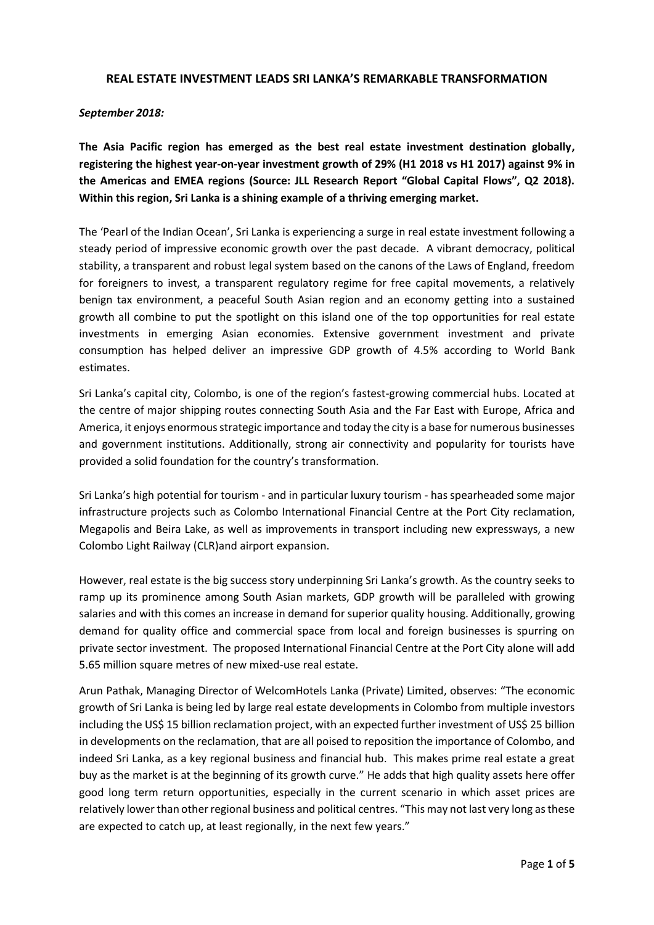## **REAL ESTATE INVESTMENT LEADS SRI LANKA'S REMARKABLE TRANSFORMATION**

#### *September 2018:*

**The Asia Pacific region has emerged as the best real estate investment destination globally, registering the highest year-on-year investment growth of 29% (H1 2018 vs H1 2017) against 9% in the Americas and EMEA regions (Source: JLL Research Report "Global Capital Flows", Q2 2018). Within this region, Sri Lanka is a shining example of a thriving emerging market.**

The 'Pearl of the Indian Ocean', Sri Lanka is experiencing a surge in real estate investment following a steady period of impressive economic growth over the past decade. A vibrant democracy, political stability, a transparent and robust legal system based on the canons of the Laws of England, freedom for foreigners to invest, a transparent regulatory regime for free capital movements, a relatively benign tax environment, a peaceful South Asian region and an economy getting into a sustained growth all combine to put the spotlight on this island one of the top opportunities for real estate investments in emerging Asian economies. Extensive government investment and private consumption has helped deliver an impressive GDP growth of 4.5% according to World Bank estimates.

Sri Lanka's capital city, Colombo, is one of the region's fastest-growing commercial hubs. Located at the centre of major shipping routes connecting South Asia and the Far East with Europe, Africa and America, it enjoys enormous strategic importance and today the city is a base for numerous businesses and government institutions. Additionally, strong air connectivity and popularity for tourists have provided a solid foundation for the country's transformation.

Sri Lanka's high potential for tourism - and in particular luxury tourism - has spearheaded some major infrastructure projects such as Colombo International Financial Centre at the Port City reclamation, Megapolis and Beira Lake, as well as improvements in transport including new expressways, a new Colombo Light Railway (CLR)and airport expansion.

However, real estate is the big success story underpinning Sri Lanka's growth. As the country seeks to ramp up its prominence among South Asian markets, GDP growth will be paralleled with growing salaries and with this comes an increase in demand for superior quality housing. Additionally, growing demand for quality office and commercial space from local and foreign businesses is spurring on private sector investment. The proposed International Financial Centre at the Port City alone will add 5.65 million square metres of new mixed-use real estate.

Arun Pathak, Managing Director of WelcomHotels Lanka (Private) Limited, observes: "The economic growth of Sri Lanka is being led by large real estate developments in Colombo from multiple investors including the US\$ 15 billion reclamation project, with an expected further investment of US\$ 25 billion in developments on the reclamation, that are all poised to reposition the importance of Colombo, and indeed Sri Lanka, as a key regional business and financial hub. This makes prime real estate a great buy as the market is at the beginning of its growth curve." He adds that high quality assets here offer good long term return opportunities, especially in the current scenario in which asset prices are relatively lower than other regional business and political centres. "This may not last very long as these are expected to catch up, at least regionally, in the next few years."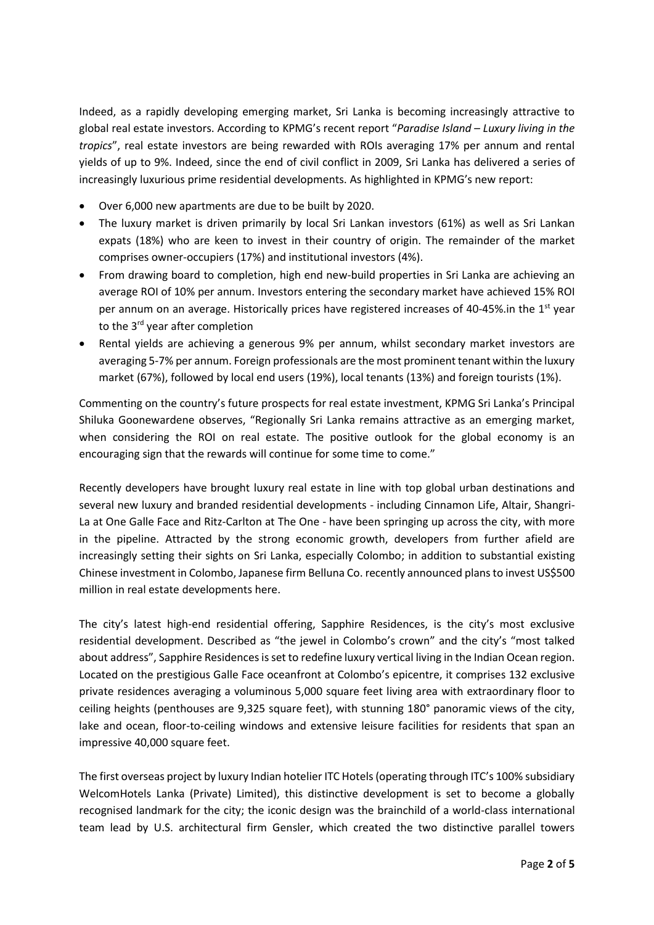Indeed, as a rapidly developing emerging market, Sri Lanka is becoming increasingly attractive to global real estate investors. According to KPMG's recent report "*Paradise Island – Luxury living in the tropics*", real estate investors are being rewarded with ROIs averaging 17% per annum and rental yields of up to 9%. Indeed, since the end of civil conflict in 2009, Sri Lanka has delivered a series of increasingly luxurious prime residential developments. As highlighted in KPMG's new report:

- Over 6,000 new apartments are due to be built by 2020.
- The luxury market is driven primarily by local Sri Lankan investors (61%) as well as Sri Lankan expats (18%) who are keen to invest in their country of origin. The remainder of the market comprises owner-occupiers (17%) and institutional investors (4%).
- From drawing board to completion, high end new-build properties in Sri Lanka are achieving an average ROI of 10% per annum. Investors entering the secondary market have achieved 15% ROI per annum on an average. Historically prices have registered increases of 40-45% in the  $1<sup>st</sup>$  year to the 3<sup>rd</sup> year after completion
- Rental yields are achieving a generous 9% per annum, whilst secondary market investors are averaging 5-7% per annum. Foreign professionals are the most prominent tenant within the luxury market (67%), followed by local end users (19%), local tenants (13%) and foreign tourists (1%).

Commenting on the country's future prospects for real estate investment, KPMG Sri Lanka's Principal Shiluka Goonewardene observes, "Regionally Sri Lanka remains attractive as an emerging market, when considering the ROI on real estate. The positive outlook for the global economy is an encouraging sign that the rewards will continue for some time to come."

Recently developers have brought luxury real estate in line with top global urban destinations and several new luxury and branded residential developments - including Cinnamon Life, Altair, Shangri-La at One Galle Face and Ritz-Carlton at The One - have been springing up across the city, with more in the pipeline. Attracted by the strong economic growth, developers from further afield are increasingly setting their sights on Sri Lanka, especially Colombo; in addition to substantial existing Chinese investment in Colombo, Japanese firm Belluna Co. recently announced plans to invest US\$500 million in real estate developments here.

The city's latest high-end residential offering, Sapphire Residences, is the city's most exclusive residential development. Described as "the jewel in Colombo's crown" and the city's "most talked about address", Sapphire Residences is set to redefine luxury vertical living in the Indian Ocean region. Located on the prestigious Galle Face oceanfront at Colombo's epicentre, it comprises 132 exclusive private residences averaging a voluminous 5,000 square feet living area with extraordinary floor to ceiling heights (penthouses are 9,325 square feet), with stunning 180° panoramic views of the city, lake and ocean, floor-to-ceiling windows and extensive leisure facilities for residents that span an impressive 40,000 square feet.

The first overseas project by luxury Indian hotelier ITC Hotels (operating through ITC's 100% subsidiary WelcomHotels Lanka (Private) Limited), this distinctive development is set to become a globally recognised landmark for the city; the iconic design was the brainchild of a world-class international team lead by U.S. architectural firm Gensler, which created the two distinctive parallel towers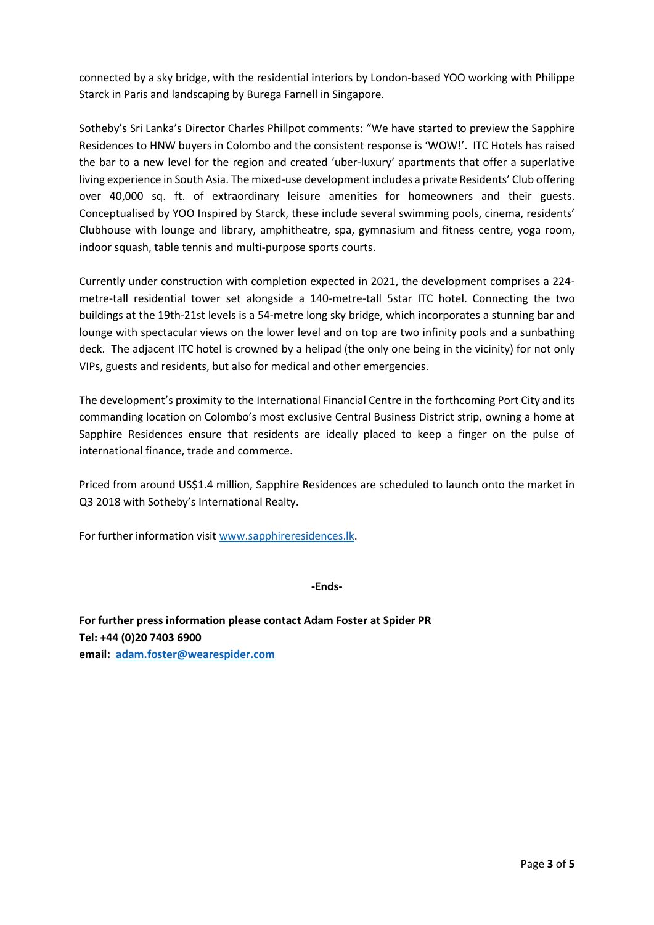connected by a sky bridge, with the residential interiors by London-based YOO working with Philippe Starck in Paris and landscaping by Burega Farnell in Singapore.

Sotheby's Sri Lanka's Director Charles Phillpot comments: "We have started to preview the Sapphire Residences to HNW buyers in Colombo and the consistent response is 'WOW!'. ITC Hotels has raised the bar to a new level for the region and created 'uber-luxury' apartments that offer a superlative living experience in South Asia. The mixed-use development includes a private Residents' Club offering over 40,000 sq. ft. of extraordinary leisure amenities for homeowners and their guests. Conceptualised by YOO Inspired by Starck, these include several swimming pools, cinema, residents' Clubhouse with lounge and library, amphitheatre, spa, gymnasium and fitness centre, yoga room, indoor squash, table tennis and multi-purpose sports courts.

Currently under construction with completion expected in 2021, the development comprises a 224 metre-tall residential tower set alongside a 140-metre-tall 5star ITC hotel. Connecting the two buildings at the 19th-21st levels is a 54-metre long sky bridge, which incorporates a stunning bar and lounge with spectacular views on the lower level and on top are two infinity pools and a sunbathing deck. The adjacent ITC hotel is crowned by a helipad (the only one being in the vicinity) for not only VIPs, guests and residents, but also for medical and other emergencies.

The development's proximity to the International Financial Centre in the forthcoming Port City and its commanding location on Colombo's most exclusive Central Business District strip, owning a home at Sapphire Residences ensure that residents are ideally placed to keep a finger on the pulse of international finance, trade and commerce.

Priced from around US\$1.4 million, Sapphire Residences are scheduled to launch onto the market in Q3 2018 with Sotheby's International Realty.

For further information visit [www.sapphireresidences.lk.](http://www.sapphireresidences.lk/)

## **-Ends-**

**For further press information please contact Adam Foster at Spider PR Tel: +44 (0)20 7403 6900 email: [adam.foster@wearespider.com](mailto:adam.foster@wearespider.com)**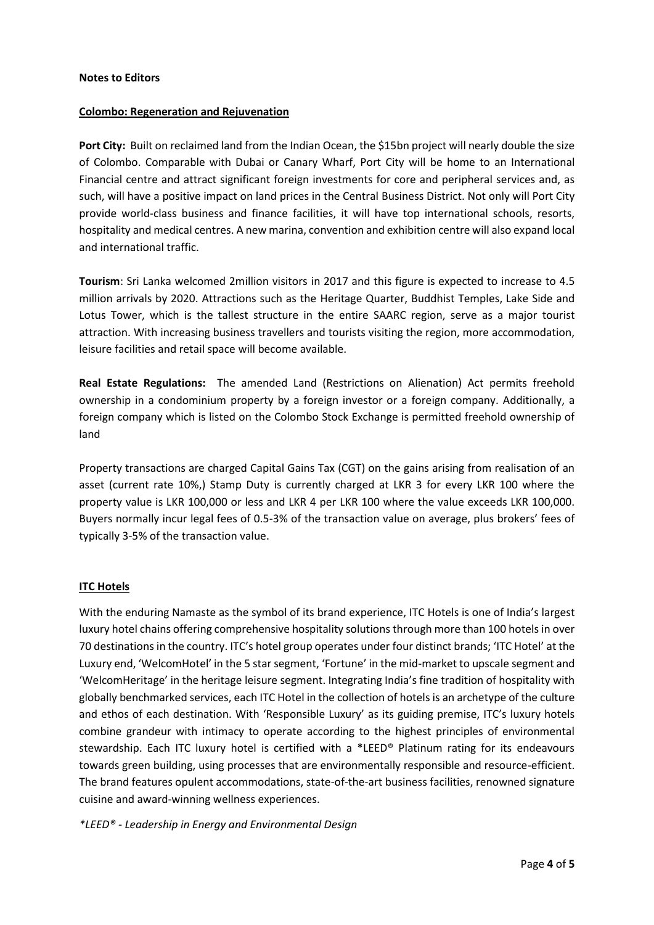#### **Notes to Editors**

#### **Colombo: Regeneration and Rejuvenation**

Port City: Built on reclaimed land from the Indian Ocean, the \$15bn project will nearly double the size of Colombo. Comparable with Dubai or Canary Wharf, Port City will be home to an International Financial centre and attract significant foreign investments for core and peripheral services and, as such, will have a positive impact on land prices in the Central Business District. Not only will Port City provide world-class business and finance facilities, it will have top international schools, resorts, hospitality and medical centres. A new marina, convention and exhibition centre will also expand local and international traffic.

**Tourism**: Sri Lanka welcomed 2million visitors in 2017 and this figure is expected to increase to 4.5 million arrivals by 2020. Attractions such as the Heritage Quarter, Buddhist Temples, Lake Side and Lotus Tower, which is the tallest structure in the entire SAARC region, serve as a major tourist attraction. With increasing business travellers and tourists visiting the region, more accommodation, leisure facilities and retail space will become available.

**Real Estate Regulations:** The amended Land (Restrictions on Alienation) Act permits freehold ownership in a condominium property by a foreign investor or a foreign company. Additionally, a foreign company which is listed on the Colombo Stock Exchange is permitted freehold ownership of land

Property transactions are charged Capital Gains Tax (CGT) on the gains arising from realisation of an asset (current rate 10%,) Stamp Duty is currently charged at LKR 3 for every LKR 100 where the property value is LKR 100,000 or less and LKR 4 per LKR 100 where the value exceeds LKR 100,000. Buyers normally incur legal fees of 0.5-3% of the transaction value on average, plus brokers' fees of typically 3-5% of the transaction value.

## **ITC Hotels**

With the enduring Namaste as the symbol of its brand experience, ITC Hotels is one of India's largest luxury hotel chains offering comprehensive hospitality solutions through more than 100 hotels in over 70 destinations in the country. ITC's hotel group operates under four distinct brands; 'ITC Hotel' at the Luxury end, 'WelcomHotel' in the 5 star segment, 'Fortune' in the mid-market to upscale segment and 'WelcomHeritage' in the heritage leisure segment. Integrating India's fine tradition of hospitality with globally benchmarked services, each ITC Hotel in the collection of hotels is an archetype of the culture and ethos of each destination. With 'Responsible Luxury' as its guiding premise, ITC's luxury hotels combine grandeur with intimacy to operate according to the highest principles of environmental stewardship. Each ITC luxury hotel is certified with a \*LEED® Platinum rating for its endeavours towards green building, using processes that are environmentally responsible and resource-efficient. The brand features opulent accommodations, state-of-the-art business facilities, renowned signature cuisine and award-winning wellness experiences.

*\*LEED® - Leadership in Energy and Environmental Design*